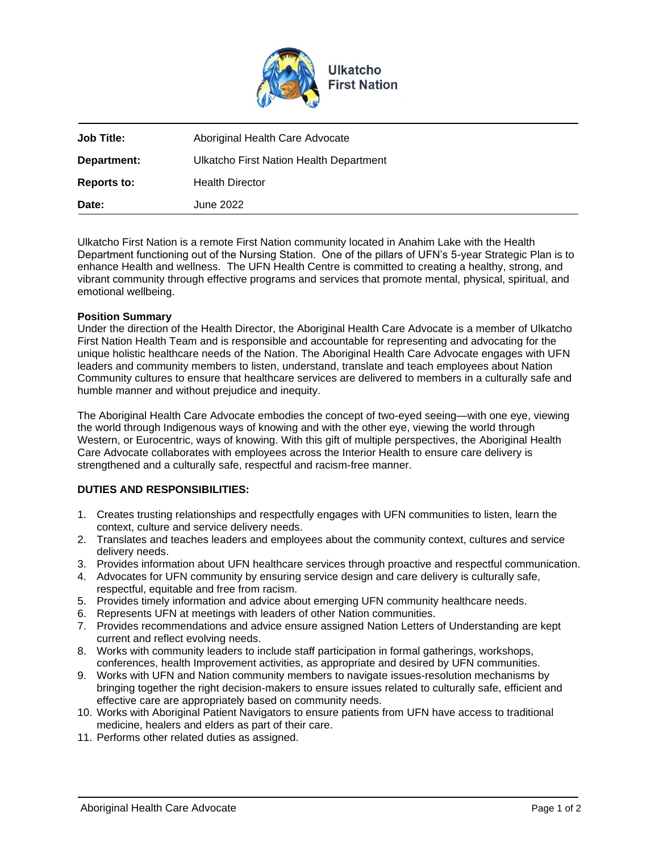

| Date:              | June 2022                               |
|--------------------|-----------------------------------------|
| <b>Reports to:</b> | <b>Health Director</b>                  |
| Department:        | Ulkatcho First Nation Health Department |
| <b>Job Title:</b>  | Aboriginal Health Care Advocate         |
|                    |                                         |

Ulkatcho First Nation is a remote First Nation community located in Anahim Lake with the Health Department functioning out of the Nursing Station. One of the pillars of UFN's 5-year Strategic Plan is to enhance Health and wellness. The UFN Health Centre is committed to creating a healthy, strong, and vibrant community through effective programs and services that promote mental, physical, spiritual, and emotional wellbeing.

### **Position Summary**

Under the direction of the Health Director, the Aboriginal Health Care Advocate is a member of Ulkatcho First Nation Health Team and is responsible and accountable for representing and advocating for the unique holistic healthcare needs of the Nation. The Aboriginal Health Care Advocate engages with UFN leaders and community members to listen, understand, translate and teach employees about Nation Community cultures to ensure that healthcare services are delivered to members in a culturally safe and humble manner and without prejudice and inequity.

The Aboriginal Health Care Advocate embodies the concept of two-eyed seeing—with one eye, viewing the world through Indigenous ways of knowing and with the other eye, viewing the world through Western, or Eurocentric, ways of knowing. With this gift of multiple perspectives, the Aboriginal Health Care Advocate collaborates with employees across the Interior Health to ensure care delivery is strengthened and a culturally safe, respectful and racism-free manner.

# **DUTIES AND RESPONSIBILITIES:**

- 1. Creates trusting relationships and respectfully engages with UFN communities to listen, learn the context, culture and service delivery needs.
- 2. Translates and teaches leaders and employees about the community context, cultures and service delivery needs.
- 3. Provides information about UFN healthcare services through proactive and respectful communication.
- 4. Advocates for UFN community by ensuring service design and care delivery is culturally safe, respectful, equitable and free from racism.
- 5. Provides timely information and advice about emerging UFN community healthcare needs.
- 6. Represents UFN at meetings with leaders of other Nation communities.
- 7. Provides recommendations and advice ensure assigned Nation Letters of Understanding are kept current and reflect evolving needs.
- 8. Works with community leaders to include staff participation in formal gatherings, workshops, conferences, health Improvement activities, as appropriate and desired by UFN communities.
- 9. Works with UFN and Nation community members to navigate issues-resolution mechanisms by bringing together the right decision-makers to ensure issues related to culturally safe, efficient and effective care are appropriately based on community needs.
- 10. Works with Aboriginal Patient Navigators to ensure patients from UFN have access to traditional medicine, healers and elders as part of their care.
- 11. Performs other related duties as assigned.